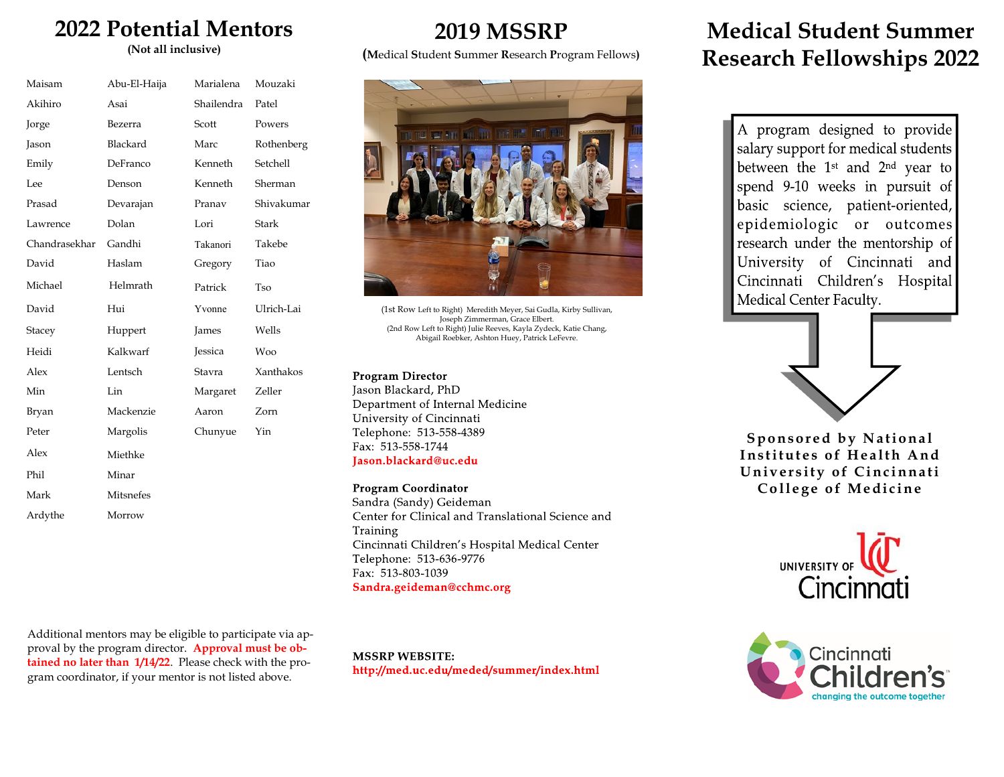# **2022 Potential Mentors**

**(Not all inclusive)**

| Maisam        | Abu-El-Haija | Marialena      | Mouzaki      |
|---------------|--------------|----------------|--------------|
| Akihiro       | Asai         | Shailendra     | Patel        |
| Jorge         | Bezerra      | Scott          | Powers       |
| Jason         | Blackard     | Marc           | Rothenberg   |
| Emily         | DeFranco     | Kenneth        | Setchell     |
| Lee           | Denson       | Kenneth        | Sherman      |
| Prasad        | Devarajan    | Pranav         | Shivakumar   |
| Lawrence      | Dolan        | Lori           | <b>Stark</b> |
| Chandrasekhar | Gandhi       | Takanori       | Takebe       |
| David         | Haslam       | Gregory        | Tiao         |
| Michael       | Helmrath     | Patrick        | Tso          |
| David         | Hui          | Yvonne         | Ulrich-Lai   |
| Stacey        | Huppert      | James          | Wells        |
| Heidi         | Kalkwarf     | <b>Jessica</b> | <b>Woo</b>   |
| Alex          | Lentsch      | Stavra         | Xanthakos    |
| Min           | Lin          | Margaret       | Zeller       |
| Bryan         | Mackenzie    | Aaron          | Zorn         |
| Peter         | Margolis     | Chunyue        | Yin          |
| Alex          | Miethke      |                |              |
| Phil          | Minar        |                |              |
| Mark          | Mitsnefes    |                |              |
| Ardythe       | Morrow       |                |              |
|               |              |                |              |

Additional mentors may be eligible to participate via approval by the program director. **Approval must be obtained no later than 1/14/22**. Please check with the program coordinator, if your mentor is not listed above.

## **2019 MSSRP**

**(M**edical **S**tudent **S**ummer **R**esearch **P**rogram Fellows**)** 



(1st Row Left to Right) Meredith Meyer, Sai Gudla, Kirby Sullivan, Joseph Zimmerman, Grace Elbert. (2nd Row Left to Right) Julie Reeves, Kayla Zydeck, Katie Chang, Abigail Roebker, Ashton Huey, Patrick LeFevre.

#### **Program Director**

Jason Blackard, PhD Department of Internal Medicine University of Cincinnati Telephone: 513-558-4389 Fax: 513-558-1744 Iason.blackard@uc.edu

#### **Program Coordinator**

Sandra (Sandy) Geideman Center for Clinical and Translational Science and Training Cincinnati Children's Hospital Medical Center Telephone: 513-636-9776 Fax: 513-803-1039 Sandra.geideman@cchmc.org

**MSSRP WEBSITE:** http://med.uc.edu/meded/summer/index.html

# **Medical Student Summer Research Fellowships 2022**

A program designed to provide salary support for medical students between the 1<sup>st</sup> and 2<sup>nd</sup> year to spend 9-10 weeks in pursuit of basic science, patient-oriented, epidemiologic or outcomes research under the mentorship of University of Cincinnati and Cincinnati Children's Hospital Medical Center Faculty.



**Sponsored by National Institutes of Health And University of Cincinnati College of Medicine**